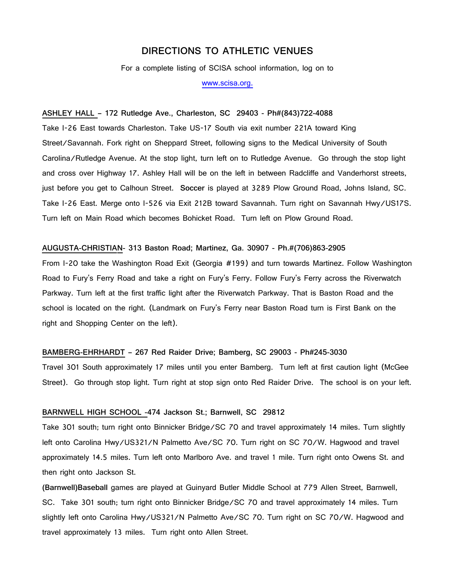# **DIRECTIONS TO ATHLETIC VENUES**

For a complete listing of SCISA school information, log on to

www.scisa.org.

### **ASHLEY HALL – 172 Rutledge Ave., Charleston, SC 29403 - Ph#(843)722-4088**

Take I-26 East towards Charleston. Take US-17 South via exit number 221A toward King Street/Savannah. Fork right on Sheppard Street, following signs to the Medical University of South Carolina/Rutledge Avenue. At the stop light, turn left on to Rutledge Avenue. Go through the stop light and cross over Highway 17. Ashley Hall will be on the left in between Radcliffe and Vanderhorst streets, just before you get to Calhoun Street. **Soccer** is played at 3289 Plow Ground Road, Johns Island, SC. Take I-26 East. Merge onto I-526 via Exit 212B toward Savannah. Turn right on Savannah Hwy/US17S. Turn left on Main Road which becomes Bohicket Road. Turn left on Plow Ground Road.

# **AUGUSTA-CHRISTIAN- 313 Baston Road; Martinez, Ga. 30907 - Ph.#(706)863-2905**

From I-20 take the Washington Road Exit (Georgia #199) and turn towards Martinez. Follow Washington Road to Fury's Ferry Road and take a right on Fury's Ferry. Follow Fury's Ferry across the Riverwatch Parkway. Turn left at the first traffic light after the Riverwatch Parkway. That is Baston Road and the school is located on the right. (Landmark on Fury's Ferry near Baston Road turn is First Bank on the right and Shopping Center on the left).

### **BAMBERG-EHRHARDT – 267 Red Raider Drive; Bamberg, SC 29003 - Ph#245-3030**

Travel 301 South approximately 17 miles until you enter Bamberg. Turn left at first caution light (McGee Street). Go through stop light. Turn right at stop sign onto Red Raider Drive. The school is on your left.

# **BARNWELL HIGH SCHOOL -474 Jackson St.; Barnwell, SC 29812**

Take 301 south; turn right onto Binnicker Bridge/SC 70 and travel approximately 14 miles. Turn slightly left onto Carolina Hwy/US321/N Palmetto Ave/SC 70. Turn right on SC 70/W. Hagwood and travel approximately 14.5 miles. Turn left onto Marlboro Ave. and travel 1 mile. Turn right onto Owens St. and then right onto Jackson St.

**(Barnwell)Baseball** games are played at Guinyard Butler Middle School at 779 Allen Street, Barnwell, SC. Take 301 south; turn right onto Binnicker Bridge/SC 70 and travel approximately 14 miles. Turn slightly left onto Carolina Hwy/US321/N Palmetto Ave/SC 70. Turn right on SC 70/W. Hagwood and travel approximately 13 miles. Turn right onto Allen Street.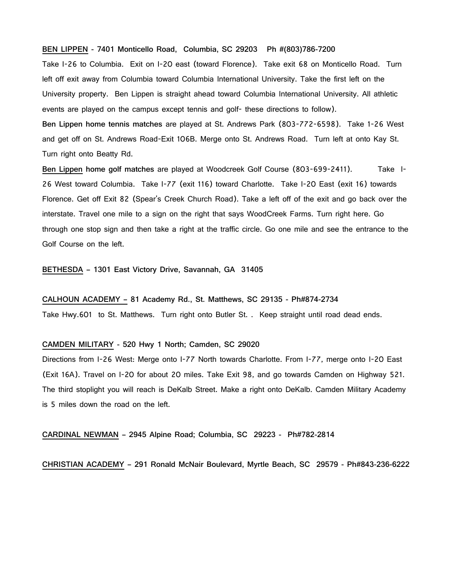# **BEN LIPPEN - 7401 Monticello Road, Columbia, SC 29203 Ph #(803)786-7200**

Take I-26 to Columbia. Exit on I-20 east (toward Florence). Take exit 68 on Monticello Road. Turn left off exit away from Columbia toward Columbia International University. Take the first left on the University property. Ben Lippen is straight ahead toward Columbia International University. All athletic events are played on the campus except tennis and golf- these directions to follow). **Ben Lippen home tennis matches** are played at St. Andrews Park (803-772-6598). Take 1-26 West and get off on St. Andrews Road-Exit 106B. Merge onto St. Andrews Road. Turn left at onto Kay St. Turn right onto Beatty Rd.

**Ben Lippen home golf matches** are played at Woodcreek Golf Course (803-699-2411). Take I-26 West toward Columbia. Take I-77 (exit 116) toward Charlotte. Take I-20 East (exit 16) towards Florence. Get off Exit 82 (Spear's Creek Church Road). Take a left off of the exit and go back over the interstate. Travel one mile to a sign on the right that says WoodCreek Farms. Turn right here. Go through one stop sign and then take a right at the traffic circle. Go one mile and see the entrance to the Golf Course on the left.

**BETHESDA – 1301 East Victory Drive, Savannah, GA 31405**

#### **CALHOUN ACADEMY – 81 Academy Rd., St. Matthews, SC 29135 - Ph#874-2734**

Take Hwy.601 to St. Matthews. Turn right onto Butler St. . Keep straight until road dead ends.

## **CAMDEN MILITARY - 520 Hwy 1 North; Camden, SC 29020**

Directions from I-26 West: Merge onto I-77 North towards Charlotte. From I-77, merge onto I-20 East (Exit 16A). Travel on I-20 for about 20 miles. Take Exit 98, and go towards Camden on Highway 521. The third stoplight you will reach is DeKalb Street. Make a right onto DeKalb. Camden Military Academy is 5 miles down the road on the left.

# **CARDINAL NEWMAN – 2945 Alpine Road; Columbia, SC 29223 - Ph#782-2814**

**CHRISTIAN ACADEMY – 291 Ronald McNair Boulevard, Myrtle Beach, SC 29579 - Ph#843-236-6222**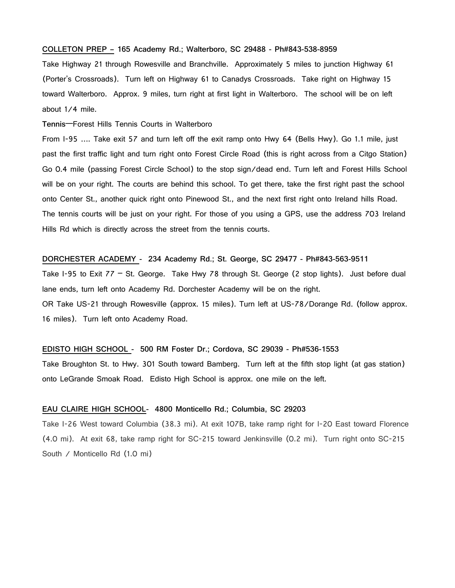#### **COLLETON PREP – 165 Academy Rd.; Walterboro, SC 29488 - Ph#843-538-8959**

Take Highway 21 through Rowesville and Branchville. Approximately 5 miles to junction Highway 61 (Porter's Crossroads). Turn left on Highway 61 to Canadys Crossroads. Take right on Highway 15 toward Walterboro. Approx. 9 miles, turn right at first light in Walterboro. The school will be on left about 1/4 mile.

**Tennis**—Forest Hills Tennis Courts in Walterboro

From I-95 …. Take exit 57 and turn left off the exit ramp onto Hwy 64 (Bells Hwy). Go 1.1 mile, just past the first traffic light and turn right onto Forest Circle Road (this is right across from a Citgo Station) Go 0.4 mile (passing Forest Circle School) to the stop sign/dead end. Turn left and Forest Hills School will be on your right. The courts are behind this school. To get there, take the first right past the school onto Center St., another quick right onto Pinewood St., and the next first right onto Ireland hills Road. The tennis courts will be just on your right. For those of you using a GPS, use the address 703 Ireland Hills Rd which is directly across the street from the tennis courts.

# **DORCHESTER ACADEMY - 234 Academy Rd.; St. George, SC 29477 - Ph#843-563-9511**

Take I-95 to Exit 77 – St. George. Take Hwy 78 through St. George (2 stop lights). Just before dual lane ends, turn left onto Academy Rd. Dorchester Academy will be on the right. OR Take US-21 through Rowesville (approx. 15 miles). Turn left at US-78/Dorange Rd. (follow approx. 16 miles). Turn left onto Academy Road.

# **EDISTO HIGH SCHOOL - 500 RM Foster Dr.; Cordova, SC 29039 - Ph#536-1553**

Take Broughton St. to Hwy. 301 South toward Bamberg. Turn left at the fifth stop light (at gas station) onto LeGrande Smoak Road. Edisto High School is approx. one mile on the left.

# **EAU CLAIRE HIGH SCHOOL- 4800 Monticello Rd.; Columbia, SC 29203**

Take I-26 West toward Columbia (38.3 mi). At exit 107B, take ramp right for I-20 East toward Florence (4.0 mi). At exit 68, take ramp right for SC-215 toward Jenkinsville (0.2 mi). Turn right onto SC-215 South / Monticello Rd (1.0 mi)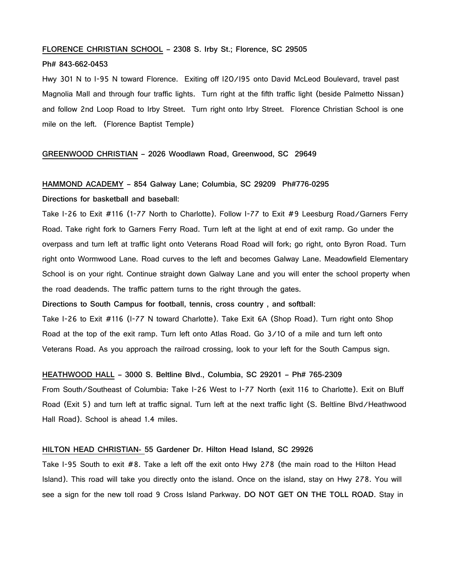## **FLORENCE CHRISTIAN SCHOOL – 2308 S. Irby St.; Florence, SC 29505**

#### **Ph# 843-662-0453**

Hwy 301 N to I-95 N toward Florence. Exiting off I20/I95 onto David McLeod Boulevard, travel past Magnolia Mall and through four traffic lights. Turn right at the fifth traffic light (beside Palmetto Nissan) and follow 2nd Loop Road to Irby Street. Turn right onto Irby Street. Florence Christian School is one mile on the left. (Florence Baptist Temple)

# **GREENWOOD CHRISTIAN – 2026 Woodlawn Road, Greenwood, SC 29649**

# **HAMMOND ACADEMY – 854 Galway Lane; Columbia, SC 29209 Ph#776-0295**

**Directions for basketball and baseball:**

Take I-26 to Exit #116 (1-77 North to Charlotte). Follow I-77 to Exit #9 Leesburg Road/Garners Ferry Road. Take right fork to Garners Ferry Road. Turn left at the light at end of exit ramp. Go under the overpass and turn left at traffic light onto Veterans Road Road will fork; go right, onto Byron Road. Turn right onto Wormwood Lane. Road curves to the left and becomes Galway Lane. Meadowfield Elementary School is on your right. Continue straight down Galway Lane and you will enter the school property when the road deadends. The traffic pattern turns to the right through the gates.

**Directions to South Campus for football, tennis, cross country , and softball:**

Take I-26 to Exit #116 (I-77 N toward Charlotte). Take Exit 6A (Shop Road). Turn right onto Shop Road at the top of the exit ramp. Turn left onto Atlas Road. Go 3/10 of a mile and turn left onto Veterans Road. As you approach the railroad crossing, look to your left for the South Campus sign.

# **HEATHWOOD HALL – 3000 S. Beltline Blvd., Columbia, SC 29201 – Ph# 765-2309**

From South/Southeast of Columbia: Take I-26 West to I-77 North (exit 116 to Charlotte). Exit on Bluff Road (Exit 5) and turn left at traffic signal. Turn left at the next traffic light (S. Beltline Blvd/Heathwood Hall Road). School is ahead 1.4 miles.

#### **HILTON HEAD CHRISTIAN- 55 Gardener Dr. Hilton Head Island, SC 29926**

Take I-95 South to exit #8. Take a left off the exit onto Hwy 278 (the main road to the Hilton Head Island). This road will take you directly onto the island. Once on the island, stay on Hwy 278. You will see a sign for the new toll road 9 Cross Island Parkway. **DO NOT GET ON THE TOLL ROAD**. Stay in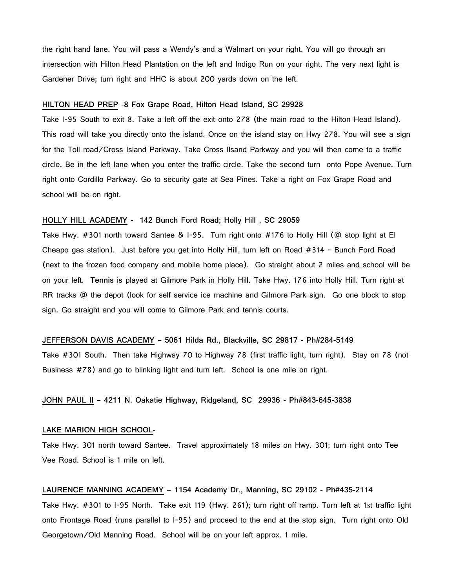the right hand lane. You will pass a Wendy's and a Walmart on your right. You will go through an intersection with Hilton Head Plantation on the left and Indigo Run on your right. The very next light is Gardener Drive; turn right and HHC is about 200 yards down on the left.

#### **HILTON HEAD PREP -8 Fox Grape Road, Hilton Head Island, SC 29928**

Take I-95 South to exit 8. Take a left off the exit onto 278 (the main road to the Hilton Head Island). This road will take you directly onto the island. Once on the island stay on Hwy 278. You will see a sign for the Toll road/Cross Island Parkway. Take Cross Ilsand Parkway and you will then come to a traffic circle. Be in the left lane when you enter the traffic circle. Take the second turn onto Pope Avenue. Turn right onto Cordillo Parkway. Go to security gate at Sea Pines. Take a right on Fox Grape Road and school will be on right.

# **HOLLY HILL ACADEMY - 142 Bunch Ford Road; Holly Hill , SC 29059**

Take Hwy. #301 north toward Santee & I-95. Turn right onto #176 to Holly Hill (@ stop light at El Cheapo gas station). Just before you get into Holly Hill, turn left on Road #314 - Bunch Ford Road (next to the frozen food company and mobile home place). Go straight about 2 miles and school will be on your left. **Tennis** is played at Gilmore Park in Holly Hill. Take Hwy. 176 into Holly Hill. Turn right at RR tracks @ the depot (look for self service ice machine and Gilmore Park sign. Go one block to stop sign. Go straight and you will come to Gilmore Park and tennis courts.

#### **JEFFERSON DAVIS ACADEMY – 5061 Hilda Rd., Blackville, SC 29817 - Ph#284-5149**

Take #301 South. Then take Highway 70 to Highway 78 (first traffic light, turn right). Stay on 78 (not Business #78) and go to blinking light and turn left. School is one mile on right.

# **JOHN PAUL II – 4211 N. Oakatie Highway, Ridgeland, SC 29936 - Ph#843-645-3838**

# **LAKE MARION HIGH SCHOOL-**

Take Hwy. 301 north toward Santee. Travel approximately 18 miles on Hwy. 301; turn right onto Tee Vee Road. School is 1 mile on left.

### **LAURENCE MANNING ACADEMY – 1154 Academy Dr., Manning, SC 29102 - Ph#435-2114**

Take Hwy. #301 to I-95 North. Take exit 119 (Hwy. 261); turn right off ramp. Turn left at 1st traffic light onto Frontage Road (runs parallel to I-95) and proceed to the end at the stop sign. Turn right onto Old Georgetown/Old Manning Road. School will be on your left approx. 1 mile.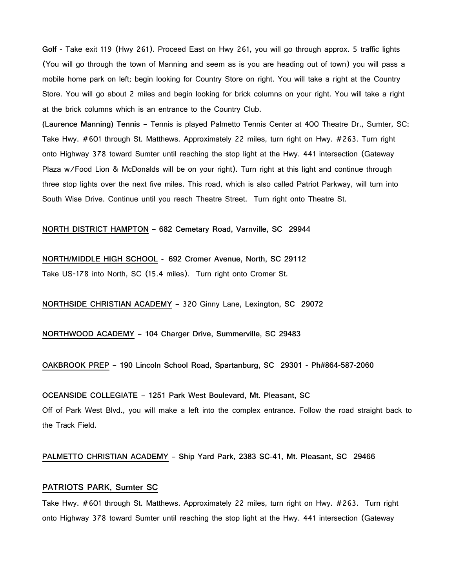**Golf -** Take exit 119 (Hwy 261). Proceed East on Hwy 261, you will go through approx. 5 traffic lights (You will go through the town of Manning and seem as is you are heading out of town) you will pass a mobile home park on left; begin looking for Country Store on right. You will take a right at the Country Store. You will go about 2 miles and begin looking for brick columns on your right. You will take a right at the brick columns which is an entrance to the Country Club.

**(Laurence Manning) Tennis –** Tennis is played Palmetto Tennis Center at 400 Theatre Dr., Sumter, SC: Take Hwy. #601 through St. Matthews. Approximately 22 miles, turn right on Hwy. #263. Turn right onto Highway 378 toward Sumter until reaching the stop light at the Hwy. 441 intersection (Gateway Plaza w/Food Lion & McDonalds will be on your right). Turn right at this light and continue through three stop lights over the next five miles. This road, which is also called Patriot Parkway, will turn into South Wise Drive. Continue until you reach Theatre Street. Turn right onto Theatre St.

**NORTH DISTRICT HAMPTON – 682 Cemetary Road, Varnville, SC 29944**

**NORTH/MIDDLE HIGH SCHOOL - 692 Cromer Avenue, North, SC 29112** Take US-178 into North, SC (15.4 miles). Turn right onto Cromer St.

**NORTHSIDE CHRISTIAN ACADEMY –** 320 Ginny Lane**, Lexington, SC 29072**

**NORTHWOOD ACADEMY – 104 Charger Drive, Summerville, SC 29483**

**OAKBROOK PREP – 190 Lincoln School Road, Spartanburg, SC 29301 - Ph#864-587-2060**

**OCEANSIDE COLLEGIATE – 1251 Park West Boulevard, Mt. Pleasant, SC**  Off of Park West Blvd., you will make a left into the complex entrance. Follow the road straight back to the Track Field.

**PALMETTO CHRISTIAN ACADEMY – Ship Yard Park, 2383 SC-41, Mt. Pleasant, SC 29466**

# **PATRIOTS PARK, Sumter SC**

Take Hwy. #601 through St. Matthews. Approximately 22 miles, turn right on Hwy. #263. Turn right onto Highway 378 toward Sumter until reaching the stop light at the Hwy. 441 intersection (Gateway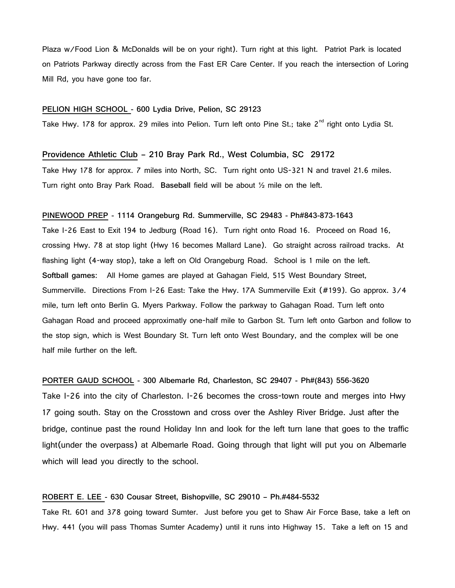Plaza w/Food Lion & McDonalds will be on your right). Turn right at this light. Patriot Park is located on Patriots Parkway directly across from the Fast ER Care Center. If you reach the intersection of Loring Mill Rd, you have gone too far.

#### **PELION HIGH SCHOOL - 600 Lydia Drive, Pelion, SC 29123**

Take Hwy. 178 for approx. 29 miles into Pelion. Turn left onto Pine St.; take 2<sup>nd</sup> right onto Lydia St.

# **Providence Athletic Club – 210 Bray Park Rd., West Columbia, SC 29172**

Take Hwy 178 for approx. 7 miles into North, SC. Turn right onto US-321 N and travel 21.6 miles. Turn right onto Bray Park Road. **Baseball** field will be about ½ mile on the left.

#### **PINEWOOD PREP - 1114 Orangeburg Rd. Summerville, SC 29483 - Ph#843-873-1643**

Take I-26 East to Exit 194 to Jedburg (Road 16). Turn right onto Road 16. Proceed on Road 16, crossing Hwy. 78 at stop light (Hwy 16 becomes Mallard Lane). Go straight across railroad tracks. At flashing light (4-way stop), take a left on Old Orangeburg Road. School is 1 mile on the left. **Softball games:** All Home games are played at Gahagan Field, 515 West Boundary Street, Summerville. Directions From I-26 East: Take the Hwy. 17A Summerville Exit (#199). Go approx. 3/4 mile, turn left onto Berlin G. Myers Parkway. Follow the parkway to Gahagan Road. Turn left onto Gahagan Road and proceed approximatly one-half mile to Garbon St. Turn left onto Garbon and follow to the stop sign, which is West Boundary St. Turn left onto West Boundary, and the complex will be one half mile further on the left.

**PORTER GAUD SCHOOL - 300 Albemarle Rd, Charleston, SC 29407 - Ph#(843) 556-3620** Take I-26 into the city of Charleston. I-26 becomes the cross-town route and merges into Hwy 17 going south. Stay on the Crosstown and cross over the Ashley River Bridge. Just after the bridge, continue past the round Holiday Inn and look for the left turn lane that goes to the traffic light(under the overpass) at Albemarle Road. Going through that light will put you on Albemarle which will lead you directly to the school.

# **ROBERT E. LEE - 630 Cousar Street, Bishopville, SC 29010 – Ph.#484-5532**

Take Rt. 601 and 378 going toward Sumter. Just before you get to Shaw Air Force Base, take a left on Hwy. 441 (you will pass Thomas Sumter Academy) until it runs into Highway 15. Take a left on 15 and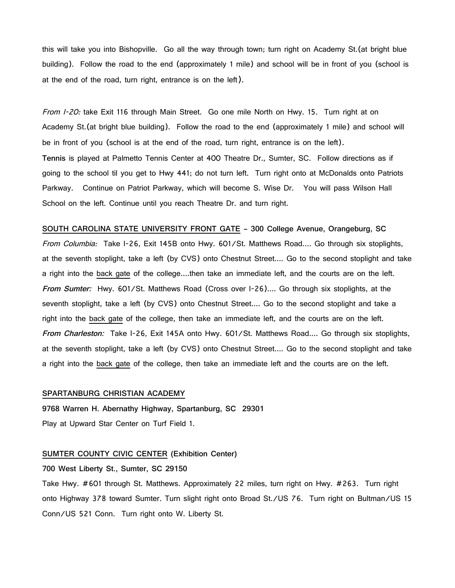this will take you into Bishopville. Go all the way through town; turn right on Academy St.(at bright blue building). Follow the road to the end (approximately 1 mile) and school will be in front of you (school is at the end of the road, turn right, entrance is on the left).

From I-20: take Exit 116 through Main Street. Go one mile North on Hwy. 15. Turn right at on Academy St.(at bright blue building). Follow the road to the end (approximately 1 mile) and school will be in front of you (school is at the end of the road, turn right, entrance is on the left). **Tennis** is played at Palmetto Tennis Center at 400 Theatre Dr., Sumter, SC. Follow directions as if going to the school til you get to Hwy 441; do not turn left. Turn right onto at McDonalds onto Patriots Parkway. Continue on Patriot Parkway, which will become S. Wise Dr. You will pass Wilson Hall School on the left. Continue until you reach Theatre Dr. and turn right.

**SOUTH CAROLINA STATE UNIVERSITY FRONT GATE – 300 College Avenue, Orangeburg, SC** From Columbia: Take I-26, Exit 145B onto Hwy. 601/St. Matthews Road.... Go through six stoplights, at the seventh stoplight, take a left (by CVS) onto Chestnut Street.... Go to the second stoplight and take a right into the back gate of the college....then take an immediate left, and the courts are on the left. **From Sumter:** Hwy. 601/St. Matthews Road (Cross over I-26).... Go through six stoplights, at the seventh stoplight, take a left (by CVS) onto Chestnut Street.... Go to the second stoplight and take a right into the back gate of the college, then take an immediate left, and the courts are on the left. **From Charleston:** Take I-26, Exit 145A onto Hwy. 601/St. Matthews Road.... Go through six stoplights, at the seventh stoplight, take a left (by CVS) onto Chestnut Street.... Go to the second stoplight and take a right into the back gate of the college, then take an immediate left and the courts are on the left.

# **SPARTANBURG CHRISTIAN ACADEMY**

**9768 Warren H. Abernathy Highway, Spartanburg, SC 29301** Play at Upward Star Center on Turf Field 1.

# **SUMTER COUNTY CIVIC CENTER (Exhibition Center)**

**700 West Liberty St., Sumter, SC 29150**

Take Hwy. #601 through St. Matthews. Approximately 22 miles, turn right on Hwy. #263. Turn right onto Highway 378 toward Sumter. Turn slight right onto Broad St./US 76. Turn right on Bultman/US 15 Conn/US 521 Conn. Turn right onto W. Liberty St.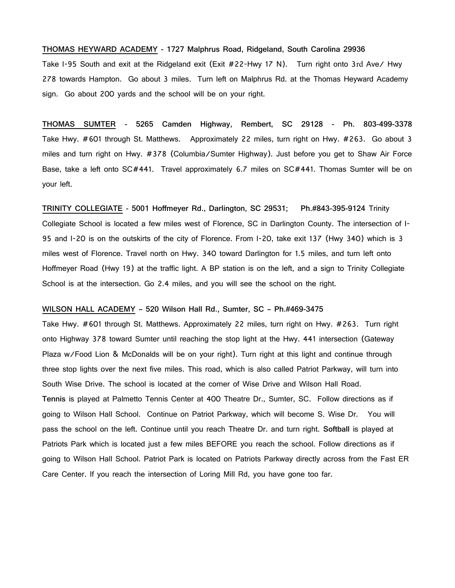#### **THOMAS HEYWARD ACADEMY - 1727 Malphrus Road, Ridgeland, South Carolina 29936**

Take I-95 South and exit at the Ridgeland exit (Exit #22-Hwy 17 N). Turn right onto 3rd Ave/ Hwy 278 towards Hampton. Go about 3 miles. Turn left on Malphrus Rd. at the Thomas Heyward Academy sign. Go about 200 yards and the school will be on your right.

**THOMAS SUMTER - 5265 Camden Highway, Rembert, SC 29128 - Ph. 803-499-3378** Take Hwy. #601 through St. Matthews. Approximately 22 miles, turn right on Hwy. #263. Go about 3 miles and turn right on Hwy. #378 (Columbia/Sumter Highway). Just before you get to Shaw Air Force Base, take a left onto SC#441. Travel approximately 6.7 miles on SC#441. Thomas Sumter will be on your left.

**TRINITY COLLEGIATE - 5001 Hoffmeyer Rd., Darlington, SC 29531; Ph.#843-395-9124** Trinity Collegiate School is located a few miles west of Florence, SC in Darlington County. The intersection of I-95 and I-20 is on the outskirts of the city of Florence. From I-20, take exit 137 (Hwy 340) which is 3 miles west of Florence. Travel north on Hwy. 340 toward Darlington for 1.5 miles, and turn left onto Hoffmeyer Road (Hwy 19) at the traffic light. A BP station is on the left, and a sign to Trinity Collegiate School is at the intersection. Go 2.4 miles, and you will see the school on the right.

# **WILSON HALL ACADEMY – 520 Wilson Hall Rd., Sumter, SC – Ph.#469-3475**

Take Hwy. #601 through St. Matthews. Approximately 22 miles, turn right on Hwy. #263. Turn right onto Highway 378 toward Sumter until reaching the stop light at the Hwy. 441 intersection (Gateway Plaza w/Food Lion & McDonalds will be on your right). Turn right at this light and continue through three stop lights over the next five miles. This road, which is also called Patriot Parkway, will turn into South Wise Drive. The school is located at the corner of Wise Drive and Wilson Hall Road. **Tennis** is played at Palmetto Tennis Center at 400 Theatre Dr., Sumter, SC. Follow directions as if going to Wilson Hall School. Continue on Patriot Parkway, which will become S. Wise Dr. You will pass the school on the left. Continue until you reach Theatre Dr. and turn right. **Softball** is played at Patriots Park which is located just a few miles BEFORE you reach the school. Follow directions as if going to Wilson Hall School. Patriot Park is located on Patriots Parkway directly across from the Fast ER Care Center. If you reach the intersection of Loring Mill Rd, you have gone too far.